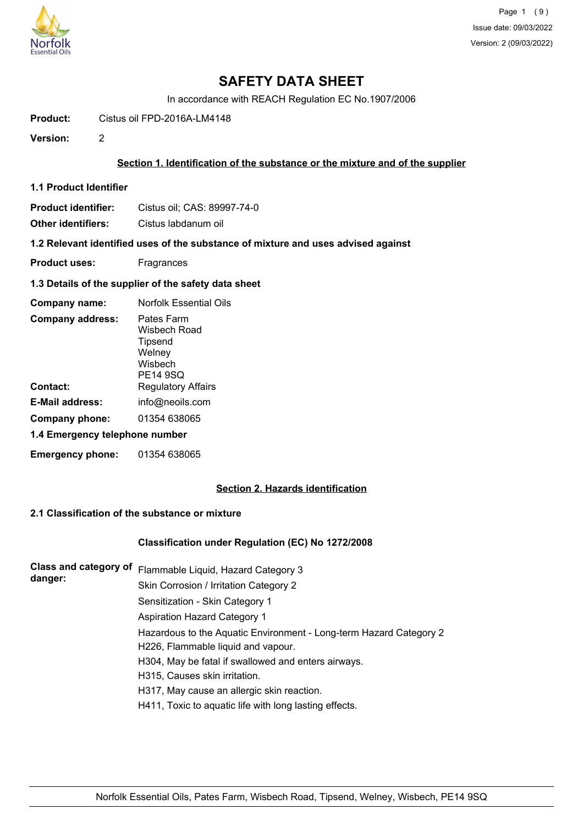

In accordance with REACH Regulation EC No.1907/2006

**Product:** Cistus oil FPD-2016A-LM4148

**Version:** 2

## **Section 1. Identification of the substance or the mixture and of the supplier**

**1.1 Product Identifier**

| <b>Product identifier:</b> | Cistus oil; CAS: 89997-74-0 |
|----------------------------|-----------------------------|
|----------------------------|-----------------------------|

**Other identifiers:** Cistus labdanum oil

**1.2 Relevant identified uses of the substance of mixture and uses advised against**

- **Product uses:** Fragrances
- **1.3 Details of the supplier of the safety data sheet**

| Company name:                  | <b>Norfolk Essential Oils</b>                                          |  |
|--------------------------------|------------------------------------------------------------------------|--|
| <b>Company address:</b>        | Pates Farm<br>Wisbech Road<br>Tipsend<br>Welney<br>Wishech<br>PE14 9SQ |  |
| Contact:                       | <b>Regulatory Affairs</b>                                              |  |
| E-Mail address:                | info@neoils.com                                                        |  |
| Company phone:                 | 01354 638065                                                           |  |
| 1.4 Emergency telephone number |                                                                        |  |
| <b>Emergency phone:</b>        | 01354 638065                                                           |  |

# **Section 2. Hazards identification**

# **2.1 Classification of the substance or mixture**

## **Classification under Regulation (EC) No 1272/2008**

| <b>Class and category of</b><br>danger: | Flammable Liquid, Hazard Category 3                                |
|-----------------------------------------|--------------------------------------------------------------------|
|                                         | Skin Corrosion / Irritation Category 2                             |
|                                         | Sensitization - Skin Category 1                                    |
|                                         | <b>Aspiration Hazard Category 1</b>                                |
|                                         | Hazardous to the Aquatic Environment - Long-term Hazard Category 2 |
|                                         | H226, Flammable liquid and vapour.                                 |
|                                         | H304, May be fatal if swallowed and enters airways.                |
|                                         | H315, Causes skin irritation.                                      |
|                                         | H317, May cause an allergic skin reaction.                         |
|                                         | H411, Toxic to aquatic life with long lasting effects.             |
|                                         |                                                                    |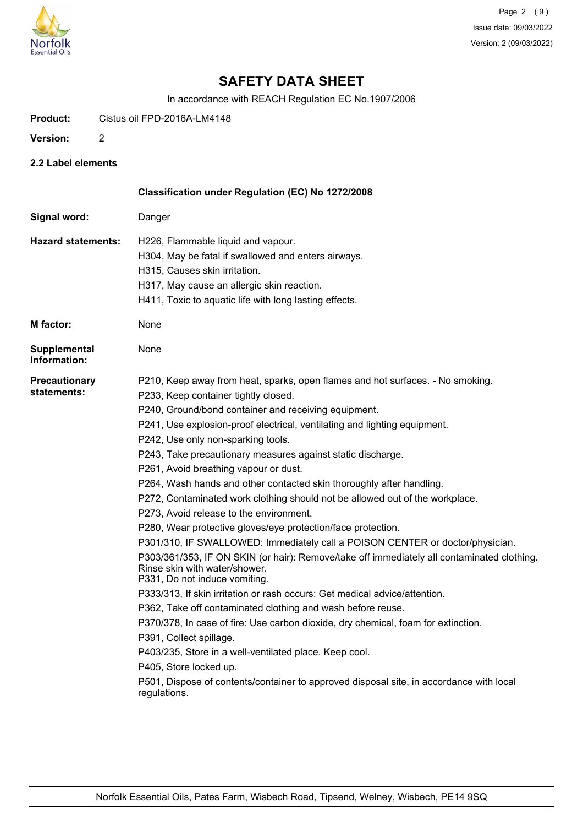

In accordance with REACH Regulation EC No.1907/2006

**Product:** Cistus oil FPD-2016A-LM4148

- **Version:** 2
- **2.2 Label elements**

|                                     | Classification under Regulation (EC) No 1272/2008                                                                                                            |
|-------------------------------------|--------------------------------------------------------------------------------------------------------------------------------------------------------------|
| Signal word:                        | Danger                                                                                                                                                       |
| <b>Hazard statements:</b>           | H226, Flammable liquid and vapour.                                                                                                                           |
|                                     | H304, May be fatal if swallowed and enters airways.                                                                                                          |
|                                     | H315, Causes skin irritation.                                                                                                                                |
|                                     | H317, May cause an allergic skin reaction.                                                                                                                   |
|                                     | H411, Toxic to aquatic life with long lasting effects.                                                                                                       |
| <b>M</b> factor:                    | None                                                                                                                                                         |
| <b>Supplemental</b><br>Information: | None                                                                                                                                                         |
| <b>Precautionary</b>                | P210, Keep away from heat, sparks, open flames and hot surfaces. - No smoking.                                                                               |
| statements:                         | P233, Keep container tightly closed.                                                                                                                         |
|                                     | P240, Ground/bond container and receiving equipment.                                                                                                         |
|                                     | P241, Use explosion-proof electrical, ventilating and lighting equipment.                                                                                    |
|                                     | P242, Use only non-sparking tools.                                                                                                                           |
|                                     | P243, Take precautionary measures against static discharge.                                                                                                  |
|                                     | P261, Avoid breathing vapour or dust.                                                                                                                        |
|                                     | P264, Wash hands and other contacted skin thoroughly after handling.                                                                                         |
|                                     | P272, Contaminated work clothing should not be allowed out of the workplace.                                                                                 |
|                                     | P273, Avoid release to the environment.                                                                                                                      |
|                                     | P280, Wear protective gloves/eye protection/face protection.                                                                                                 |
|                                     | P301/310, IF SWALLOWED: Immediately call a POISON CENTER or doctor/physician.                                                                                |
|                                     | P303/361/353, IF ON SKIN (or hair): Remove/take off immediately all contaminated clothing.<br>Rinse skin with water/shower.<br>P331, Do not induce vomiting. |
|                                     | P333/313, If skin irritation or rash occurs: Get medical advice/attention.                                                                                   |
|                                     | P362, Take off contaminated clothing and wash before reuse.                                                                                                  |
|                                     | P370/378, In case of fire: Use carbon dioxide, dry chemical, foam for extinction.                                                                            |
|                                     | P391, Collect spillage.                                                                                                                                      |
|                                     | P403/235, Store in a well-ventilated place. Keep cool.                                                                                                       |
|                                     | P405, Store locked up.                                                                                                                                       |
|                                     | P501, Dispose of contents/container to approved disposal site, in accordance with local<br>regulations.                                                      |
|                                     |                                                                                                                                                              |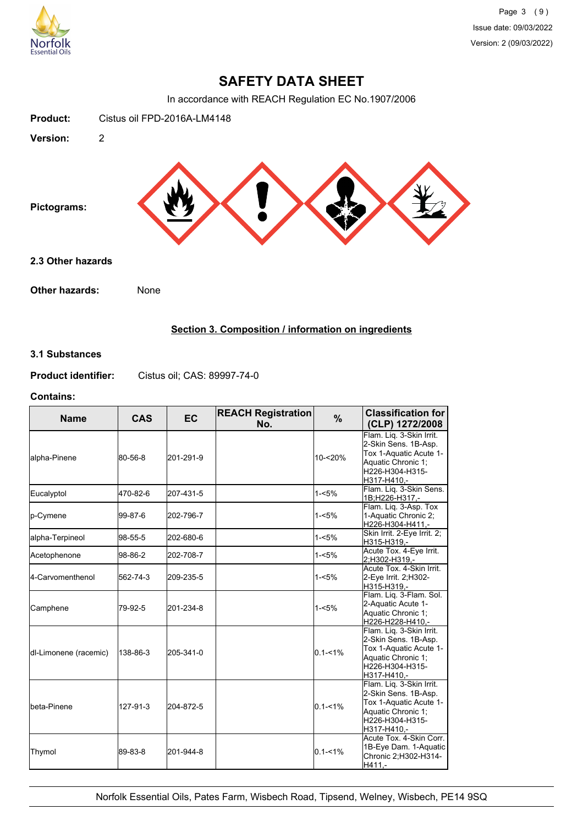

In accordance with REACH Regulation EC No.1907/2006



# **Section 3. Composition / information on ingredients**

### **3.1 Substances**

**Product identifier:** Cistus oil; CAS: 89997-74-0

### **Contains:**

| <b>Name</b>           | <b>CAS</b> | EC.       | <b>REACH Registration</b><br>No. | $\frac{9}{6}$ | <b>Classification for</b><br>(CLP) 1272/2008                                                                                       |
|-----------------------|------------|-----------|----------------------------------|---------------|------------------------------------------------------------------------------------------------------------------------------------|
| alpha-Pinene          | 80-56-8    | 201-291-9 |                                  | 10-<20%       | Flam. Lig. 3-Skin Irrit.<br>2-Skin Sens. 1B-Asp.<br>Tox 1-Aquatic Acute 1-<br>Aquatic Chronic 1:<br>H226-H304-H315-<br>H317-H410,- |
| Eucalyptol            | 470-82-6   | 207-431-5 |                                  | $1 - 5%$      | Flam. Lig. 3-Skin Sens.<br>1B;H226-H317,-                                                                                          |
| p-Cymene              | 99-87-6    | 202-796-7 |                                  | $1 - 5%$      | Flam. Liq. 3-Asp. Tox<br>1-Aquatic Chronic 2;<br>H226-H304-H411,-                                                                  |
| alpha-Terpineol       | 98-55-5    | 202-680-6 |                                  | $1 - 5%$      | Skin Irrit. 2-Eye Irrit. 2;<br>H315-H319,-                                                                                         |
| Acetophenone          | 98-86-2    | 202-708-7 |                                  | $1 - 5%$      | Acute Tox. 4-Eye Irrit.<br>2;H302-H319,-                                                                                           |
| 4-Carvomenthenol      | 562-74-3   | 209-235-5 |                                  | $1 - 5%$      | Acute Tox, 4-Skin Irrit.<br>2-Eye Irrit. 2;H302-<br>H315-H319.-                                                                    |
| Camphene              | 79-92-5    | 201-234-8 |                                  | $1 - 5%$      | Flam. Liq. 3-Flam. Sol.<br>2-Aquatic Acute 1-<br>Aquatic Chronic 1:<br>H226-H228-H410.-                                            |
| dl-Limonene (racemic) | 138-86-3   | 205-341-0 |                                  | $0.1 - 1\%$   | Flam. Lig. 3-Skin Irrit.<br>2-Skin Sens. 1B-Asp.<br>Tox 1-Aquatic Acute 1-<br>Aquatic Chronic 1;<br>H226-H304-H315-<br>H317-H410,- |
| <b>I</b> beta-Pinene  | 127-91-3   | 204-872-5 |                                  | $0.1 - 1%$    | Flam. Lig. 3-Skin Irrit.<br>2-Skin Sens. 1B-Asp.<br>Tox 1-Aquatic Acute 1-<br>Aquatic Chronic 1;<br>H226-H304-H315-<br>H317-H410.- |
| Thymol                | 89-83-8    | 201-944-8 |                                  | $0.1 - 1\%$   | Acute Tox. 4-Skin Corr.<br>1B-Eye Dam. 1-Aquatic<br>Chronic 2;H302-H314-<br>H411,-                                                 |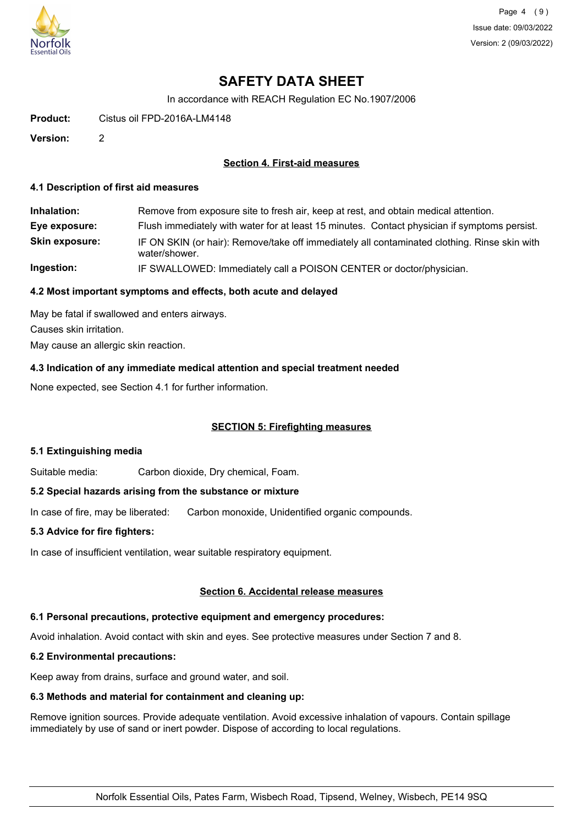

Page 4 (9) Issue date: 09/03/2022 Version: 2 (09/03/2022)

# **SAFETY DATA SHEET**

In accordance with REACH Regulation EC No.1907/2006

**Product:** Cistus oil FPD-2016A-LM4148

**Version:** 2

## **Section 4. First-aid measures**

#### **4.1 Description of first aid measures**

| Inhalation:           | Remove from exposure site to fresh air, keep at rest, and obtain medical attention.                           |
|-----------------------|---------------------------------------------------------------------------------------------------------------|
| Eye exposure:         | Flush immediately with water for at least 15 minutes. Contact physician if symptoms persist.                  |
| <b>Skin exposure:</b> | IF ON SKIN (or hair): Remove/take off immediately all contaminated clothing. Rinse skin with<br>water/shower. |
| Ingestion:            | IF SWALLOWED: Immediately call a POISON CENTER or doctor/physician.                                           |

### **4.2 Most important symptoms and effects, both acute and delayed**

May be fatal if swallowed and enters airways. Causes skin irritation. May cause an allergic skin reaction.

### **4.3 Indication of any immediate medical attention and special treatment needed**

None expected, see Section 4.1 for further information.

## **SECTION 5: Firefighting measures**

#### **5.1 Extinguishing media**

Suitable media: Carbon dioxide, Dry chemical, Foam.

#### **5.2 Special hazards arising from the substance or mixture**

In case of fire, may be liberated: Carbon monoxide, Unidentified organic compounds.

#### **5.3 Advice for fire fighters:**

In case of insufficient ventilation, wear suitable respiratory equipment.

#### **Section 6. Accidental release measures**

# **6.1 Personal precautions, protective equipment and emergency procedures:**

Avoid inhalation. Avoid contact with skin and eyes. See protective measures under Section 7 and 8.

# **6.2 Environmental precautions:**

Keep away from drains, surface and ground water, and soil.

# **6.3 Methods and material for containment and cleaning up:**

Remove ignition sources. Provide adequate ventilation. Avoid excessive inhalation of vapours. Contain spillage immediately by use of sand or inert powder. Dispose of according to local regulations.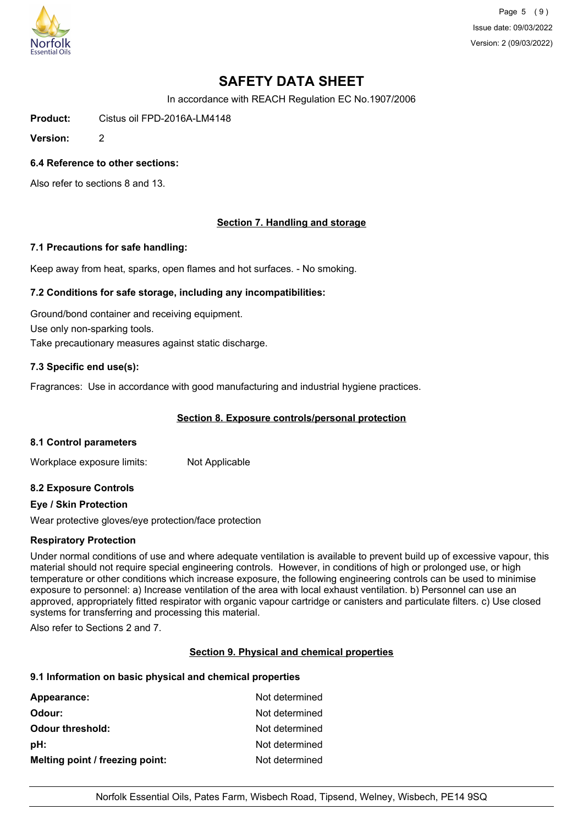

Page 5 (9) Issue date: 09/03/2022 Version: 2 (09/03/2022)

# **SAFETY DATA SHEET**

In accordance with REACH Regulation EC No.1907/2006

**Product:** Cistus oil FPD-2016A-LM4148

**Version:** 2

### **6.4 Reference to other sections:**

Also refer to sections 8 and 13.

## **Section 7. Handling and storage**

#### **7.1 Precautions for safe handling:**

Keep away from heat, sparks, open flames and hot surfaces. - No smoking.

#### **7.2 Conditions for safe storage, including any incompatibilities:**

Ground/bond container and receiving equipment. Use only non-sparking tools. Take precautionary measures against static discharge.

### **7.3 Specific end use(s):**

Fragrances: Use in accordance with good manufacturing and industrial hygiene practices.

#### **Section 8. Exposure controls/personal protection**

#### **8.1 Control parameters**

Workplace exposure limits: Not Applicable

#### **8.2 Exposure Controls**

#### **Eye / Skin Protection**

Wear protective gloves/eye protection/face protection

#### **Respiratory Protection**

Under normal conditions of use and where adequate ventilation is available to prevent build up of excessive vapour, this material should not require special engineering controls. However, in conditions of high or prolonged use, or high temperature or other conditions which increase exposure, the following engineering controls can be used to minimise exposure to personnel: a) Increase ventilation of the area with local exhaust ventilation. b) Personnel can use an approved, appropriately fitted respirator with organic vapour cartridge or canisters and particulate filters. c) Use closed systems for transferring and processing this material.

Also refer to Sections 2 and 7.

#### **Section 9. Physical and chemical properties**

#### **9.1 Information on basic physical and chemical properties**

| Appearance:                     | Not determined |
|---------------------------------|----------------|
| Odour:                          | Not determined |
| <b>Odour threshold:</b>         | Not determined |
| pH:                             | Not determined |
| Melting point / freezing point: | Not determined |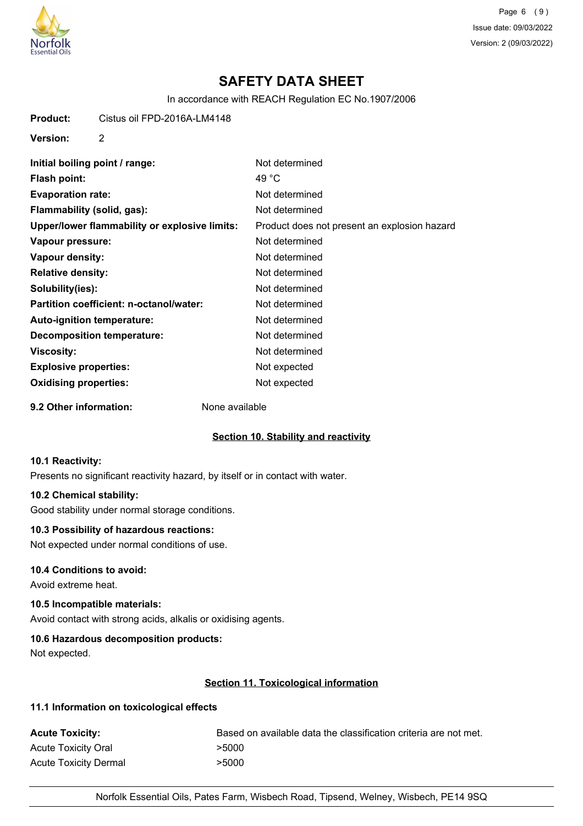

Page 6 (9) Issue date: 09/03/2022 Version: 2 (09/03/2022)

# **SAFETY DATA SHEET**

In accordance with REACH Regulation EC No.1907/2006

**Product:** Cistus oil FPD-2016A-LM4148

**Version:** 2

| Initial boiling point / range:                | Not determined                               |
|-----------------------------------------------|----------------------------------------------|
| Flash point:                                  | 49 °C                                        |
| <b>Evaporation rate:</b>                      | Not determined                               |
| Flammability (solid, gas):                    | Not determined                               |
| Upper/lower flammability or explosive limits: | Product does not present an explosion hazard |
| Vapour pressure:                              | Not determined                               |
| Vapour density:                               | Not determined                               |
| <b>Relative density:</b>                      | Not determined                               |
| Solubility(ies):                              | Not determined                               |
| Partition coefficient: n-octanol/water:       | Not determined                               |
| Auto-ignition temperature:                    | Not determined                               |
| <b>Decomposition temperature:</b>             | Not determined                               |
| <b>Viscosity:</b>                             | Not determined                               |
| <b>Explosive properties:</b>                  | Not expected                                 |
| <b>Oxidising properties:</b>                  | Not expected                                 |

**9.2 Other information:** None available

## **Section 10. Stability and reactivity**

### **10.1 Reactivity:**

Presents no significant reactivity hazard, by itself or in contact with water.

#### **10.2 Chemical stability:**

Good stability under normal storage conditions.

## **10.3 Possibility of hazardous reactions:**

Not expected under normal conditions of use.

## **10.4 Conditions to avoid:**

Avoid extreme heat.

## **10.5 Incompatible materials:**

Avoid contact with strong acids, alkalis or oxidising agents.

# **10.6 Hazardous decomposition products:**

Not expected.

# **Section 11. Toxicological information**

### **11.1 Information on toxicological effects**

| <b>Acute Toxicity:</b>       | Based on available data the classification criteria are not met. |
|------------------------------|------------------------------------------------------------------|
| <b>Acute Toxicity Oral</b>   | >5000                                                            |
| <b>Acute Toxicity Dermal</b> | >5000                                                            |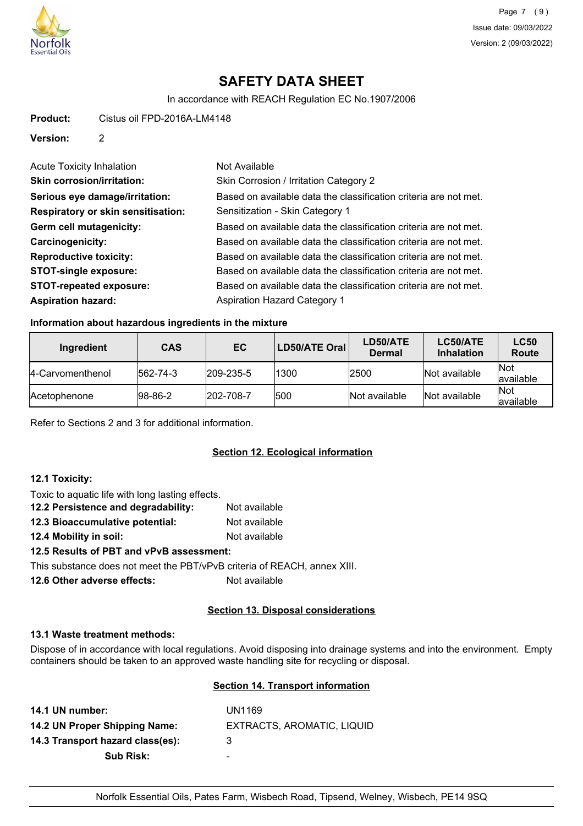

In accordance with REACH Regulation EC No.1907/2006

**Product:** Cistus oil FPD-2016A-LM4148

**Version:** 2

| <b>Acute Toxicity Inhalation</b>          | Not Available                                                    |
|-------------------------------------------|------------------------------------------------------------------|
| <b>Skin corrosion/irritation:</b>         | Skin Corrosion / Irritation Category 2                           |
| Serious eye damage/irritation:            | Based on available data the classification criteria are not met. |
| <b>Respiratory or skin sensitisation:</b> | Sensitization - Skin Category 1                                  |
| Germ cell mutagenicity:                   | Based on available data the classification criteria are not met. |
| Carcinogenicity:                          | Based on available data the classification criteria are not met. |
| <b>Reproductive toxicity:</b>             | Based on available data the classification criteria are not met. |
| <b>STOT-single exposure:</b>              | Based on available data the classification criteria are not met. |
| <b>STOT-repeated exposure:</b>            | Based on available data the classification criteria are not met. |
| <b>Aspiration hazard:</b>                 | <b>Aspiration Hazard Category 1</b>                              |

## **Information about hazardous ingredients in the mixture**

| Ingredient           | <b>CAS</b>       | EC.               | <b>LD50/ATE Oral</b> | LD50/ATE<br><b>Dermal</b> | LC50/ATE<br><b>Inhalation</b> | <b>LC50</b><br>Route     |
|----------------------|------------------|-------------------|----------------------|---------------------------|-------------------------------|--------------------------|
| 14-Carvomenthenol    | $ 562 - 74 - 3 $ | $ 209 - 235 - 5 $ | 1300                 | 2500                      | Not available                 | <b>Not</b><br>lavailable |
| <b>IAcetophenone</b> | $ 98-86-2 $      | 202-708-7         | 500                  | Not available             | Not available                 | <b>Not</b><br>lavailable |

Refer to Sections 2 and 3 for additional information.

# **Section 12. Ecological information**

# **12.1 Toxicity:**

| Toxic to aquatic life with long lasting effects.             |               |
|--------------------------------------------------------------|---------------|
| 12.2 Persistence and degradability:                          | Not available |
| 12.3 Bioaccumulative potential:                              | Not available |
| 12.4 Mobility in soil:                                       | Not available |
| 12.5 Results of PBT and vPvB assessment:                     |               |
| This substance deep not meet the DDT/ D.D. suitanis of DEAQU |               |

This substance does not meet the PBT/vPvB criteria of REACH, annex XIII.

**12.6 Other adverse effects:** Not available

# **Section 13. Disposal considerations**

#### **13.1 Waste treatment methods:**

Dispose of in accordance with local regulations. Avoid disposing into drainage systems and into the environment. Empty containers should be taken to an approved waste handling site for recycling or disposal.

# **Section 14. Transport information**

| 14.1 UN number:                  | UN1169                     |
|----------------------------------|----------------------------|
| 14.2 UN Proper Shipping Name:    | EXTRACTS, AROMATIC, LIQUID |
| 14.3 Transport hazard class(es): | 3                          |
| <b>Sub Risk:</b>                 | -                          |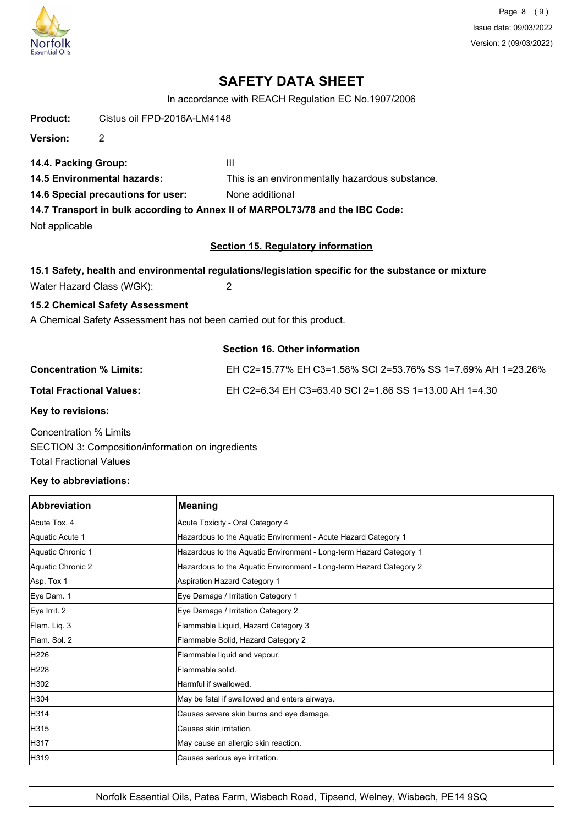

Page 8 (9) Issue date: 09/03/2022 Version: 2 (09/03/2022)

# **SAFETY DATA SHEET**

In accordance with REACH Regulation EC No.1907/2006

**Product:** Cistus oil FPD-2016A-LM4148

**Version:** 2

**14.4. Packing Group:** III

**14.5 Environmental hazards:** This is an environmentally hazardous substance.

**14.6 Special precautions for user:** None additional

**14.7 Transport in bulk according to Annex II of MARPOL73/78 and the IBC Code:**

Not applicable

## **Section 15. Regulatory information**

## **15.1 Safety, health and environmental regulations/legislation specific for the substance or mixture**

Water Hazard Class (WGK): 2

# **15.2 Chemical Safety Assessment**

A Chemical Safety Assessment has not been carried out for this product.

# **Section 16. Other information**

| <b>Concentration % Limits:</b>  | EH C2=15.77% EH C3=1.58% SCI 2=53.76% SS 1=7.69% AH 1=23.26% |
|---------------------------------|--------------------------------------------------------------|
| <b>Total Fractional Values:</b> | EH C2=6.34 EH C3=63.40 SCI 2=1.86 SS 1=13.00 AH 1=4.30       |
| Koy to rovicione:               |                                                              |

**Key to revisions:**

Concentration % Limits SECTION 3: Composition/information on ingredients Total Fractional Values

## **Key to abbreviations:**

| <b>Abbreviation</b> | <b>Meaning</b>                                                     |
|---------------------|--------------------------------------------------------------------|
| Acute Tox, 4        | Acute Toxicity - Oral Category 4                                   |
| Aquatic Acute 1     | Hazardous to the Aquatic Environment - Acute Hazard Category 1     |
| Aquatic Chronic 1   | Hazardous to the Aquatic Environment - Long-term Hazard Category 1 |
| Aquatic Chronic 2   | Hazardous to the Aquatic Environment - Long-term Hazard Category 2 |
| Asp. Tox 1          | Aspiration Hazard Category 1                                       |
| Eye Dam. 1          | Eye Damage / Irritation Category 1                                 |
| Eye Irrit. 2        | Eye Damage / Irritation Category 2                                 |
| Flam. Liq. 3        | Flammable Liquid, Hazard Category 3                                |
| Flam. Sol. 2        | Flammable Solid, Hazard Category 2                                 |
| H226                | Flammable liquid and vapour.                                       |
| H228                | Flammable solid.                                                   |
| H302                | Harmful if swallowed.                                              |
| H304                | May be fatal if swallowed and enters airways.                      |
| H314                | Causes severe skin burns and eye damage.                           |
| H315                | Causes skin irritation.                                            |
| H317                | May cause an allergic skin reaction.                               |
| H319                | Causes serious eye irritation.                                     |